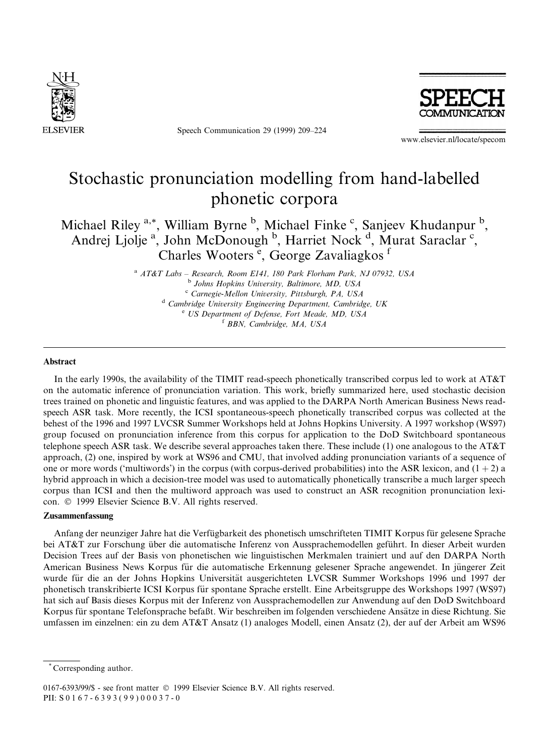

Speech Communication 29 (1999) 209-224



www.elsevier.nl/locate/specom

# Stochastic pronunciation modelling from hand-labelled phonetic corpora

Michael Riley <sup>a,\*</sup>, William Byrne <sup>b</sup>, Michael Finke <sup>c</sup>, Sanjeev Khudanpur <sup>b</sup>, Andrej Ljolje<sup>a</sup>, John McDonough <sup>b</sup>, Harriet Nock<sup>d</sup>, Murat Saraclar<sup>c</sup>, Charles Wooters<sup>e</sup>, George Zavaliagkos<sup>f</sup>

> <sup>a</sup> AT&T Labs – Research, Room E141, 180 Park Florham Park, NJ 07932, USA b Johns Hopkins University, Baltimore, MD, USA <sup>c</sup> Carnegie-Mellon University, Pittsburgh, PA, USA<br>d Cambridge University Engineering Department, Cambridge, UK<br> $^{e}$  US Department of Defense, Fort Meade, MD, USA<br> $^{f}$  BBN, Cambridge, MA, USA

#### Abstract

In the early 1990s, the availability of the TIMIT read-speech phonetically transcribed corpus led to work at AT&T on the automatic inference of pronunciation variation. This work, briefly summarized here, used stochastic decision trees trained on phonetic and linguistic features, and was applied to the DARPA North American Business News readspeech ASR task. More recently, the ICSI spontaneous-speech phonetically transcribed corpus was collected at the behest of the 1996 and 1997 LVCSR Summer Workshops held at Johns Hopkins University. A 1997 workshop (WS97) group focused on pronunciation inference from this corpus for application to the DoD Switchboard spontaneous telephone speech ASR task. We describe several approaches taken there. These include (1) one analogous to the AT&T approach, (2) one, inspired by work at WS96 and CMU, that involved adding pronunciation variants of a sequence of one or more words ('multiwords') in the corpus (with corpus-derived probabilities) into the ASR lexicon, and  $(1 + 2)$  a hybrid approach in which a decision-tree model was used to automatically phonetically transcribe a much larger speech corpus than ICSI and then the multiword approach was used to construct an ASR recognition pronunciation lexicon.  $\odot$  1999 Elsevier Science B.V. All rights reserved.

#### Zusammenfassung

Anfang der neunziger Jahre hat die Verfügbarkeit des phonetisch umschrifteten TIMIT Korpus für gelesene Sprache bei AT&T zur Forschung über die automatische Inferenz von Aussprachemodellen geführt. In dieser Arbeit wurden Decision Trees auf der Basis von phonetischen wie linguistischen Merkmalen trainiert und auf den DARPA North American Business News Korpus für die automatische Erkennung gelesener Sprache angewendet. In jüngerer Zeit wurde für die an der Johns Hopkins Universität ausgerichteten LVCSR Summer Workshops 1996 und 1997 der phonetisch transkribierte ICSI Korpus fur spontane Sprache erstellt. Eine Arbeitsgruppe des Workshops 1997 (WS97) hat sich auf Basis dieses Korpus mit der Inferenz von Aussprachemodellen zur Anwendung auf den DoD Switchboard Korpus für spontane Telefonsprache befaßt. Wir beschreiben im folgenden verschiedene Ansätze in diese Richtung. Sie umfassen im einzelnen: ein zu dem AT&T Ansatz (1) analoges Modell, einen Ansatz (2), der auf der Arbeit am WS96

0167-6393/99/\$ - see front matter © 1999 Elsevier Science B.V. All rights reserved. PII: S 0 1 6 7 - 6 3 9 3 ( 9 9 ) 0 0 0 3 7 - 0

Corresponding author.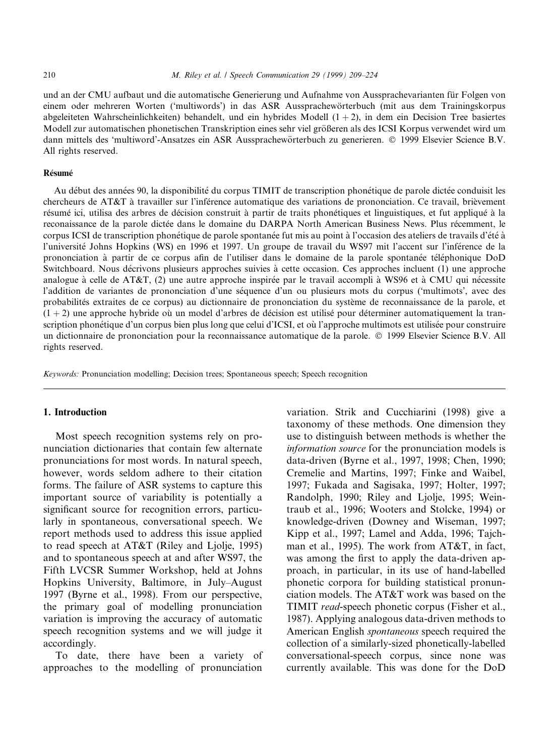und an der CMU aufbaut und die automatische Generierung und Aufnahme von Aussprachevarianten fur Folgen von einem oder mehreren Worten (`multiwords') in das ASR Ausspracheworterbuch (mit aus dem Trainingskorpus abgeleiteten Wahrscheinlichkeiten) behandelt, und ein hybrides Modell  $(1 + 2)$ , in dem ein Decision Tree basiertes Modell zur automatischen phonetischen Transkription eines sehr viel groûeren als des ICSI Korpus verwendet wird um dann mittels des 'multiword'-Ansatzes ein ASR Aussprachewörterbuch zu generieren. © 1999 Elsevier Science B.V. All rights reserved.

#### Résumé

Au début des années 90, la disponibilité du corpus TIMIT de transcription phonétique de parole dictée conduisit les chercheurs de AT&T a travailler sur l'inference automatique des variations de prononciation. Ce travail, brievement résumé ici, utilisa des arbres de décision construit à partir de traits phonétiques et linguistiques, et fut appliqué à la reconaissance de la parole dictee dans le domaine du DARPA North American Business News. Plus recemment, le corpus ICSI de transcription phonétique de parole spontanée fut mis au point à l'occasion des ateliers de travails d'été à l'universite Johns Hopkins (WS) en 1996 et 1997. Un groupe de travail du WS97 mit l'accent sur l'inference de la prononciation à partir de ce corpus afin de l'utiliser dans le domaine de la parole spontanée téléphonique DoD Switchboard. Nous decrivons plusieurs approches suivies a cette occasion. Ces approches incluent (1) une approche analogue à celle de AT&T, (2) une autre approche inspirée par le travail accompli à WS96 et à CMU qui nécessite l'addition de variantes de prononciation d'une sequence d'un ou plusieurs mots du corpus (`multimots', avec des probabilites extraites de ce corpus) au dictionnaire de prononciation du systeme de reconnaissance de la parole, et  $(1 + 2)$  une approche hybride où un model d'arbres de décision est utilisé pour déterminer automatiquement la transcription phonétique d'un corpus bien plus long que celui d'ICSI, et où l'approche multimots est utilisée pour construire un dictionnaire de prononciation pour la reconnaissance automatique de la parole. © 1999 Elsevier Science B.V. All rights reserved.

Keywords: Pronunciation modelling; Decision trees; Spontaneous speech; Speech recognition

#### 1. Introduction

Most speech recognition systems rely on pronunciation dictionaries that contain few alternate pronunciations for most words. In natural speech, however, words seldom adhere to their citation forms. The failure of ASR systems to capture this important source of variability is potentially a significant source for recognition errors, particularly in spontaneous, conversational speech. We report methods used to address this issue applied to read speech at AT&T (Riley and Ljolje, 1995) and to spontaneous speech at and after WS97, the Fifth LVCSR Summer Workshop, held at Johns Hopkins University, Baltimore, in July-August 1997 (Byrne et al., 1998). From our perspective, the primary goal of modelling pronunciation variation is improving the accuracy of automatic speech recognition systems and we will judge it accordingly.

To date, there have been a variety of approaches to the modelling of pronunciation variation. Strik and Cucchiarini (1998) give a taxonomy of these methods. One dimension they use to distinguish between methods is whether the information source for the pronunciation models is data-driven (Byrne et al., 1997, 1998; Chen, 1990; Cremelie and Martins, 1997; Finke and Waibel, 1997; Fukada and Sagisaka, 1997; Holter, 1997; Randolph, 1990; Riley and Ljolje, 1995; Weintraub et al., 1996; Wooters and Stolcke, 1994) or knowledge-driven (Downey and Wiseman, 1997; Kipp et al., 1997; Lamel and Adda, 1996; Tajchman et al., 1995). The work from AT&T, in fact, was among the first to apply the data-driven approach, in particular, in its use of hand-labelled phonetic corpora for building statistical pronunciation models. The AT&T work was based on the TIMIT read-speech phonetic corpus (Fisher et al., 1987). Applying analogous data-driven methods to American English spontaneous speech required the collection of a similarly-sized phonetically-labelled conversational-speech corpus, since none was currently available. This was done for the DoD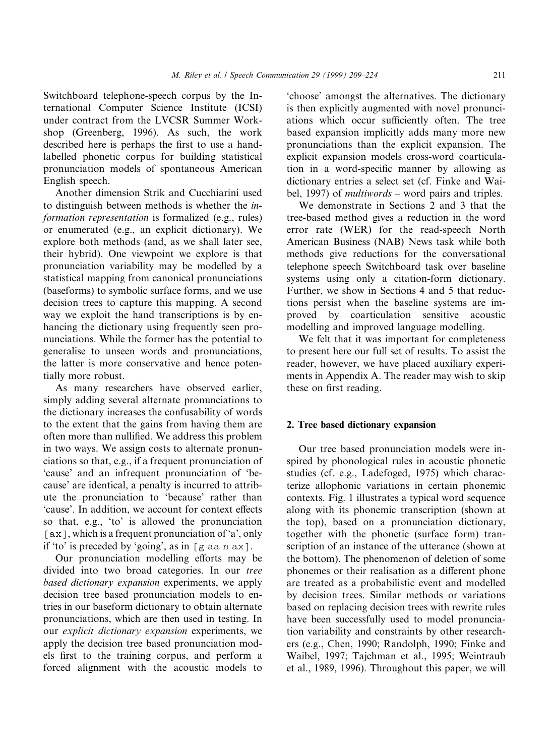Switchboard telephone-speech corpus by the International Computer Science Institute (ICSI) under contract from the LVCSR Summer Workshop (Greenberg, 1996). As such, the work described here is perhaps the first to use a handlabelled phonetic corpus for building statistical pronunciation models of spontaneous American English speech.

Another dimension Strik and Cucchiarini used to distinguish between methods is whether the information representation is formalized (e.g., rules) or enumerated (e.g., an explicit dictionary). We explore both methods (and, as we shall later see, their hybrid). One viewpoint we explore is that pronunciation variability may be modelled by a statistical mapping from canonical pronunciations (baseforms) to symbolic surface forms, and we use decision trees to capture this mapping. A second way we exploit the hand transcriptions is by enhancing the dictionary using frequently seen pronunciations. While the former has the potential to generalise to unseen words and pronunciations, the latter is more conservative and hence potentially more robust.

As many researchers have observed earlier, simply adding several alternate pronunciations to the dictionary increases the confusability of words to the extent that the gains from having them are often more than nullified. We address this problem in two ways. We assign costs to alternate pronunciations so that, e.g., if a frequent pronunciation of `cause' and an infrequent pronunciation of `because' are identical, a penalty is incurred to attribute the pronunciation to `because' rather than 'cause'. In addition, we account for context effects so that, e.g., `to' is allowed the pronunciation [ax], which is a frequent pronunciation of 'a', only if 'to' is preceded by 'going', as in  $[g$  aa n ax].

Our pronunciation modelling efforts may be divided into two broad categories. In our tree based dictionary expansion experiments, we apply decision tree based pronunciation models to entries in our baseform dictionary to obtain alternate pronunciations, which are then used in testing. In our explicit dictionary expansion experiments, we apply the decision tree based pronunciation models ®rst to the training corpus, and perform a forced alignment with the acoustic models to

`choose' amongst the alternatives. The dictionary is then explicitly augmented with novel pronunciations which occur sufficiently often. The tree based expansion implicitly adds many more new pronunciations than the explicit expansion. The explicit expansion models cross-word coarticulation in a word-specific manner by allowing as dictionary entries a select set (cf. Finke and Waibel, 1997) of *multiwords*  $-$  word pairs and triples.

We demonstrate in Sections 2 and 3 that the tree-based method gives a reduction in the word error rate (WER) for the read-speech North American Business (NAB) News task while both methods give reductions for the conversational telephone speech Switchboard task over baseline systems using only a citation-form dictionary. Further, we show in Sections 4 and 5 that reductions persist when the baseline systems are improved by coarticulation sensitive acoustic modelling and improved language modelling.

We felt that it was important for completeness to present here our full set of results. To assist the reader, however, we have placed auxiliary experiments in Appendix A. The reader may wish to skip these on first reading.

## 2. Tree based dictionary expansion

Our tree based pronunciation models were inspired by phonological rules in acoustic phonetic studies (cf. e.g., Ladefoged, 1975) which characterize allophonic variations in certain phonemic contexts. Fig. 1 illustrates a typical word sequence along with its phonemic transcription (shown at the top), based on a pronunciation dictionary, together with the phonetic (surface form) transcription of an instance of the utterance (shown at the bottom). The phenomenon of deletion of some phonemes or their realisation as a different phone are treated as a probabilistic event and modelled by decision trees. Similar methods or variations based on replacing decision trees with rewrite rules have been successfully used to model pronunciation variability and constraints by other researchers (e.g., Chen, 1990; Randolph, 1990; Finke and Waibel, 1997; Tajchman et al., 1995; Weintraub et al., 1989, 1996). Throughout this paper, we will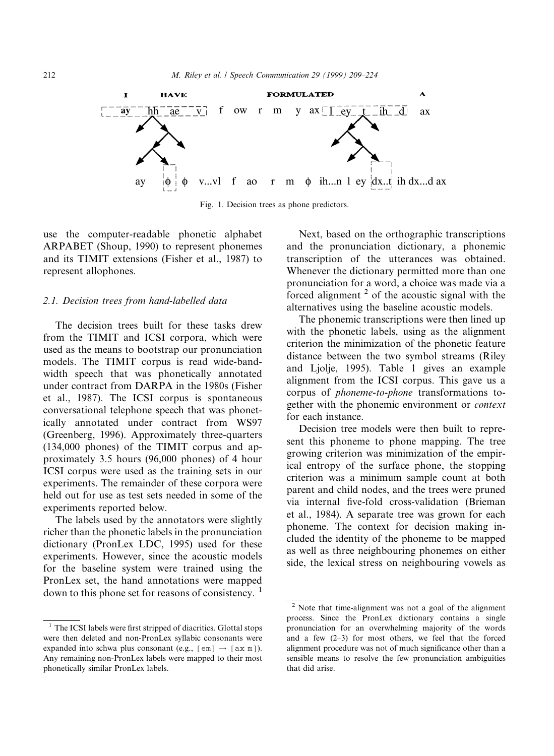

Fig. 1. Decision trees as phone predictors.

use the computer-readable phonetic alphabet ARPABET (Shoup, 1990) to represent phonemes and its TIMIT extensions (Fisher et al., 1987) to represent allophones.

## 2.1. Decision trees from hand-labelled data

The decision trees built for these tasks drew from the TIMIT and ICSI corpora, which were used as the means to bootstrap our pronunciation models. The TIMIT corpus is read wide-bandwidth speech that was phonetically annotated under contract from DARPA in the 1980s (Fisher et al., 1987). The ICSI corpus is spontaneous conversational telephone speech that was phonetically annotated under contract from WS97 (Greenberg, 1996). Approximately three-quarters (134,000 phones) of the TIMIT corpus and approximately 3.5 hours (96,000 phones) of 4 hour ICSI corpus were used as the training sets in our experiments. The remainder of these corpora were held out for use as test sets needed in some of the experiments reported below.

The labels used by the annotators were slightly richer than the phonetic labels in the pronunciation dictionary (PronLex LDC, 1995) used for these experiments. However, since the acoustic models for the baseline system were trained using the PronLex set, the hand annotations were mapped down to this phone set for reasons of consistency. <sup>1</sup>

Next, based on the orthographic transcriptions and the pronunciation dictionary, a phonemic transcription of the utterances was obtained. Whenever the dictionary permitted more than one pronunciation for a word, a choice was made via a forced alignment  $2$  of the acoustic signal with the alternatives using the baseline acoustic models.

The phonemic transcriptions were then lined up with the phonetic labels, using as the alignment criterion the minimization of the phonetic feature distance between the two symbol streams (Riley and Ljolje, 1995). Table 1 gives an example alignment from the ICSI corpus. This gave us a corpus of phoneme-to-phone transformations together with the phonemic environment or context for each instance.

Decision tree models were then built to represent this phoneme to phone mapping. The tree growing criterion was minimization of the empirical entropy of the surface phone, the stopping criterion was a minimum sample count at both parent and child nodes, and the trees were pruned via internal five-fold cross-validation (Brieman et al., 1984). A separate tree was grown for each phoneme. The context for decision making included the identity of the phoneme to be mapped as well as three neighbouring phonemes on either side, the lexical stress on neighbouring vowels as

 $<sup>1</sup>$  The ICSI labels were first stripped of diacritics. Glottal stops</sup> were then deleted and non-PronLex syllabic consonants were expanded into schwa plus consonant (e.g.,  $\lceil em \rceil \rightarrow \lceil ax \rceil$ ). Any remaining non-PronLex labels were mapped to their most phonetically similar PronLex labels.

<sup>2</sup> Note that time-alignment was not a goal of the alignment process. Since the PronLex dictionary contains a single pronunciation for an overwhelming majority of the words and a few  $(2-3)$  for most others, we feel that the forced alignment procedure was not of much significance other than a sensible means to resolve the few pronunciation ambiguities that did arise.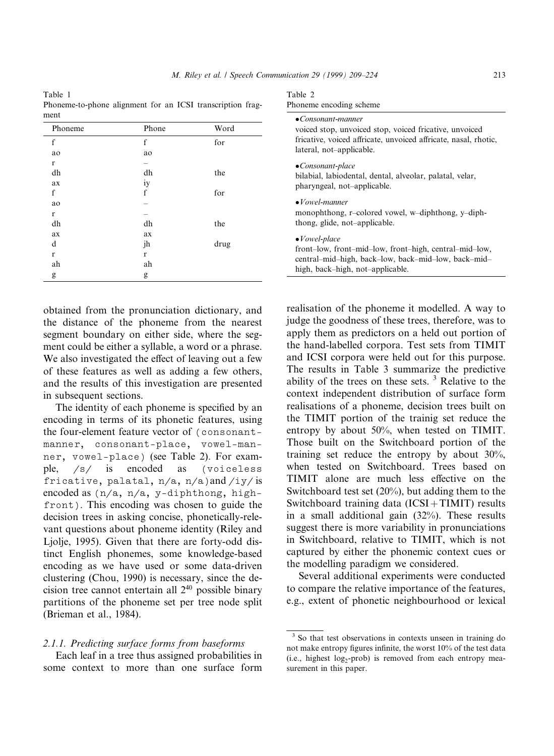Table 1 Phoneme-to-phone alignment for an ICSI transcription fragment

| Phoneme      | Phone        | Word |
|--------------|--------------|------|
| f            | f            | for  |
| ao           | ao           |      |
| $\mathbf r$  |              |      |
| dh           | dh           | the  |
| ax           | iy           |      |
| f            | f            | for  |
| ao           |              |      |
| $\mathbf r$  |              |      |
| dh           | dh           | the  |
| ax           | ax           |      |
| d            | jh           | drug |
| $\mathbf{r}$ | $\mathbf{r}$ |      |
| ah           | ah           |      |
| g            | g            |      |

obtained from the pronunciation dictionary, and the distance of the phoneme from the nearest segment boundary on either side, where the segment could be either a syllable, a word or a phrase. We also investigated the effect of leaving out a few of these features as well as adding a few others, and the results of this investigation are presented in subsequent sections.

The identity of each phoneme is specified by an encoding in terms of its phonetic features, using the four-element feature vector of (consonantmanner, consonant-place, vowel-manner, vowel-place) (see Table 2). For example, /s/ is encoded as (voiceless fricative, palatal,  $n/a$ ,  $n/a$ ) and  $/iy/$  is encoded as (n/a, n/a, y-diphthong, highfront). This encoding was chosen to guide the decision trees in asking concise, phonetically-relevant questions about phoneme identity (Riley and Ljolje, 1995). Given that there are forty-odd distinct English phonemes, some knowledge-based encoding as we have used or some data-driven clustering (Chou, 1990) is necessary, since the decision tree cannot entertain all  $2^{40}$  possible binary partitions of the phoneme set per tree node split (Brieman et al., 1984).

## 2.1.1. Predicting surface forms from baseforms

Each leaf in a tree thus assigned probabilities in some context to more than one surface form

| Table 2                 |  |
|-------------------------|--|
| Phoneme encoding scheme |  |

| $\bullet$ Consonant-manner<br>voiced stop, unvoiced stop, voiced fricative, unvoiced<br>fricative, voiced affricate, unvoiced affricate, nasal, rhotic,<br>lateral, not-applicable. |
|-------------------------------------------------------------------------------------------------------------------------------------------------------------------------------------|
| $\bullet$ Consonant-place<br>bilabial, labiodental, dental, alveolar, palatal, velar,<br>pharyngeal, not-applicable.                                                                |
| $\bullet$ Vowel-manner<br>monophthong, r-colored vowel, w-diphthong, y-diph-<br>thong, glide, not-applicable.                                                                       |
| $\bullet$ Vowel-place<br>front-low, front-mid-low, front-high, central-mid-low,<br>central-mid-high, back-low, back-mid-low, back-mid-<br>high, back-high, not-applicable.          |

realisation of the phoneme it modelled. A way to judge the goodness of these trees, therefore, was to apply them as predictors on a held out portion of the hand-labelled corpora. Test sets from TIMIT and ICSI corpora were held out for this purpose. The results in Table 3 summarize the predictive ability of the trees on these sets.  $3$  Relative to the context independent distribution of surface form realisations of a phoneme, decision trees built on the TIMIT portion of the trainig set reduce the entropy by about 50%, when tested on TIMIT. Those built on the Switchboard portion of the training set reduce the entropy by about 30%, when tested on Switchboard. Trees based on TIMIT alone are much less effective on the Switchboard test set (20%), but adding them to the Switchboard training data  $(ICSI + TIMIT)$  results in a small additional gain (32%). These results suggest there is more variability in pronunciations in Switchboard, relative to TIMIT, which is not captured by either the phonemic context cues or the modelling paradigm we considered.

Several additional experiments were conducted to compare the relative importance of the features, e.g., extent of phonetic neighbourhood or lexical

<sup>&</sup>lt;sup>3</sup> So that test observations in contexts unseen in training do not make entropy figures infinite, the worst  $10\%$  of the test data  $(i.e.,$  highest  $log<sub>2</sub>-prob$ ) is removed from each entropy measurement in this paper.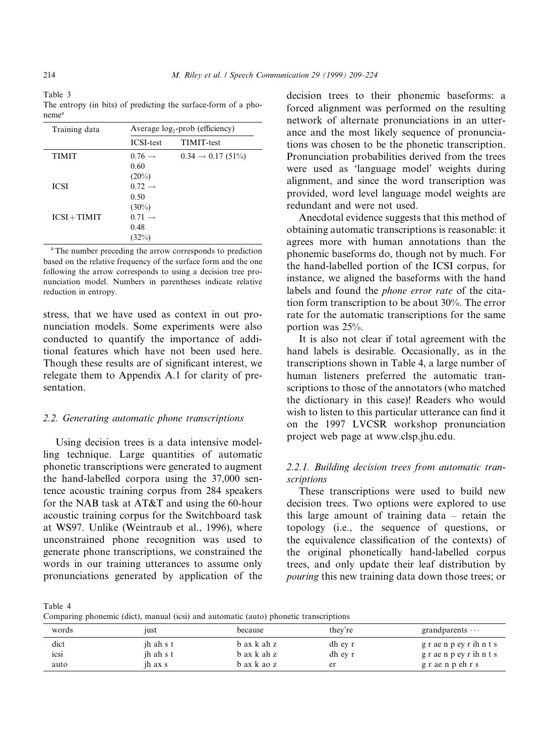Table 3 The entropy (in bits) of predicting the surface-form of a phonemea

| Training data  | Average log <sub>2</sub> -prob (efficiency) |                               |  |
|----------------|---------------------------------------------|-------------------------------|--|
|                | <b>ICSI-test</b>                            | <b>TIMIT-test</b>             |  |
| <b>TIMIT</b>   | $0.76 \rightarrow$<br>0.60<br>$(20\%)$      | $0.34 \rightarrow 0.17(51\%)$ |  |
| <b>ICSI</b>    | $0.72 \rightarrow$<br>0.50<br>$(30\%)$      |                               |  |
| $ICSI + TIMIT$ | $0.71 \rightarrow$<br>0.48<br>(32%)         |                               |  |

<sup>a</sup>The number preceding the arrow corresponds to prediction based on the relative frequency of the surface form and the one following the arrow corresponds to using a decision tree pronunciation model. Numbers in parentheses indicate relative reduction in entropy.

stress, that we have used as context in out pronunciation models. Some experiments were also conducted to quantify the importance of additional features which have not been used here. Though these results are of significant interest, we relegate them to Appendix A.1 for clarity of presentation.

#### 2.2. Generating automatic phone transcriptions

Using decision trees is a data intensive modelling technique. Large quantities of automatic phonetic transcriptions were generated to augment the hand-labelled corpora using the 37,000 sentence acoustic training corpus from 284 speakers for the NAB task at AT&T and using the 60-hour acoustic training corpus for the Switchboard task at WS97. Unlike (Weintraub et al., 1996), where unconstrained phone recognition was used to generate phone transcriptions, we constrained the words in our training utterances to assume only pronunciations generated by application of the decision trees to their phonemic baseforms: a forced alignment was performed on the resulting network of alternate pronunciations in an utterance and the most likely sequence of pronunciations was chosen to be the phonetic transcription. Pronunciation probabilities derived from the trees were used as `language model' weights during alignment, and since the word transcription was provided, word level language model weights are redundant and were not used.

Anecdotal evidence suggests that this method of obtaining automatic transcriptions is reasonable: it agrees more with human annotations than the phonemic baseforms do, though not by much. For the hand-labelled portion of the ICSI corpus, for instance, we aligned the baseforms with the hand labels and found the phone error rate of the citation form transcription to be about 30%. The error rate for the automatic transcriptions for the same portion was 25%.

It is also not clear if total agreement with the hand labels is desirable. Occasionally, as in the transcriptions shown in Table 4, a large number of human listeners preferred the automatic transcriptions to those of the annotators (who matched the dictionary in this case)! Readers who would wish to listen to this particular utterance can find it on the 1997 LVCSR workshop pronunciation project web page at www.clsp.jhu.edu.

## 2.2.1. Building decision trees from automatic transcriptions

These transcriptions were used to build new decision trees. Two options were explored to use this large amount of training data  $-$  retain the topology (i.e., the sequence of questions, or the equivalence classification of the contexts) of the original phonetically hand-labelled corpus trees, and only update their leaf distribution by pouring this new training data down those trees; or

Table 4

Comparing phonemic (dict), manual (icsi) and automatic (auto) phonetic transcriptions

| words        | just.                  | because                    | they're            | grand parents $\cdots$           |
|--------------|------------------------|----------------------------|--------------------|----------------------------------|
| dict<br>icsi | jh ah s t<br>ih ah s t | b ax k ah z<br>b ax k ah z | dh ey r<br>dh ey r | graenpeyrihnts<br>graenpeyrihnts |
| auto         | ih ax s                | b ax k ao z                | er                 | graenpehrs                       |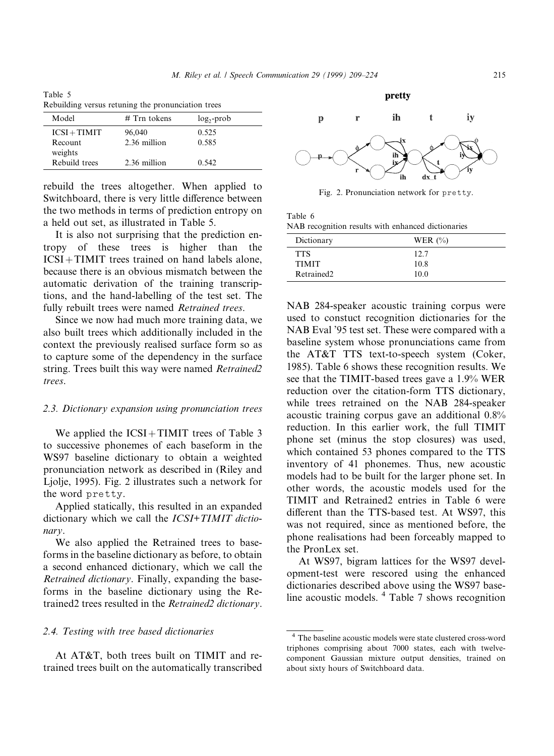Table 5 Rebuilding versus retuning the pronunciation trees

| Model          | $#$ Trn tokens | $log_2$ -prob |  |
|----------------|----------------|---------------|--|
| $ICSI + TIMIT$ | 96,040         | 0.525         |  |
| Recount        | 2.36 million   | 0.585         |  |
| weights        |                |               |  |
| Rebuild trees  | 2.36 million   | 0.542         |  |

rebuild the trees altogether. When applied to Switchboard, there is very little difference between the two methods in terms of prediction entropy on a held out set, as illustrated in Table 5.

It is also not surprising that the prediction entropy of these trees is higher than the  $ICSI + TIMIT$  trees trained on hand labels alone, because there is an obvious mismatch between the automatic derivation of the training transcriptions, and the hand-labelling of the test set. The fully rebuilt trees were named Retrained trees.

Since we now had much more training data, we also built trees which additionally included in the context the previously realised surface form so as to capture some of the dependency in the surface string. Trees built this way were named Retrained2 trees.

#### 2.3. Dictionary expansion using pronunciation trees

We applied the  $ICSI + TIMIT$  trees of Table 3 to successive phonemes of each baseform in the WS97 baseline dictionary to obtain a weighted pronunciation network as described in (Riley and Ljolje, 1995). Fig. 2 illustrates such a network for the word pretty.

Applied statically, this resulted in an expanded dictionary which we call the ICSI+TIMIT dictionary.

We also applied the Retrained trees to baseforms in the baseline dictionary as before, to obtain a second enhanced dictionary, which we call the Retrained dictionary. Finally, expanding the baseforms in the baseline dictionary using the Retrained2 trees resulted in the Retrained2 dictionary.

## 2.4. Testing with tree based dictionaries

At AT&T, both trees built on TIMIT and retrained trees built on the automatically transcribed



Fig. 2. Pronunciation network for pretty.

Table 6

NAB recognition results with enhanced dictionaries

| Dictionary             | WER $(\%$ |
|------------------------|-----------|
| TTS                    | 12.7      |
| <b>TIMIT</b>           | 10.8      |
| Retrained <sub>2</sub> | 10.0      |

NAB 284-speaker acoustic training corpus were used to constuct recognition dictionaries for the NAB Eval '95 test set. These were compared with a baseline system whose pronunciations came from the AT&T TTS text-to-speech system (Coker, 1985). Table 6 shows these recognition results. We see that the TIMIT-based trees gave a 1.9% WER reduction over the citation-form TTS dictionary, while trees retrained on the NAB 284-speaker acoustic training corpus gave an additional 0.8% reduction. In this earlier work, the full TIMIT phone set (minus the stop closures) was used, which contained 53 phones compared to the TTS inventory of 41 phonemes. Thus, new acoustic models had to be built for the larger phone set. In other words, the acoustic models used for the TIMIT and Retrained2 entries in Table 6 were different than the TTS-based test. At WS97, this was not required, since as mentioned before, the phone realisations had been forceably mapped to the PronLex set.

At WS97, bigram lattices for the WS97 development-test were rescored using the enhanced dictionaries described above using the WS97 baseline acoustic models. <sup>4</sup> Table 7 shows recognition

<sup>4</sup> The baseline acoustic models were state clustered cross-word triphones comprising about 7000 states, each with twelvecomponent Gaussian mixture output densities, trained on about sixty hours of Switchboard data.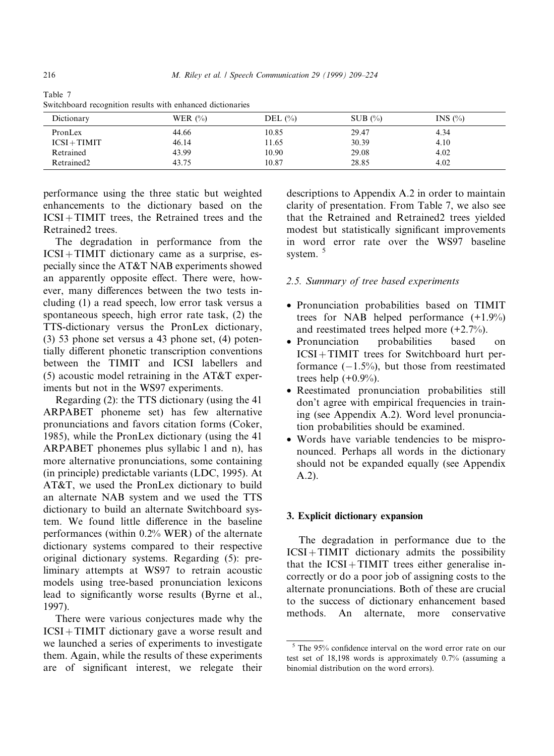| b michoodi a recognition results with children dictionaries |             |             |        |            |  |  |
|-------------------------------------------------------------|-------------|-------------|--------|------------|--|--|
| Dictionary                                                  | WER $(\% )$ | DEL $(\% )$ | SUB(%) | INS $(\%)$ |  |  |
| PronLex                                                     | 44.66       | 10.85       | 29.47  | 4.34       |  |  |
| $ICSI + TIMIT$                                              | 46.14       | 11.65       | 30.39  | 4.10       |  |  |
| Retrained                                                   | 43.99       | 10.90       | 29.08  | 4.02       |  |  |
| Retrained <sub>2</sub>                                      | 43.75       | 10.87       | 28.85  | 4.02       |  |  |
|                                                             |             |             |        |            |  |  |

Table 7 Switchboard recognition results with enhanced dictionaries

performance using the three static but weighted enhancements to the dictionary based on the  $ICSI + TIMIT$  trees, the Retrained trees and the Retrained2 trees.

The degradation in performance from the  $ICSI + TIMIT$  dictionary came as a surprise, especially since the AT&T NAB experiments showed an apparently opposite effect. There were, however, many differences between the two tests including (1) a read speech, low error task versus a spontaneous speech, high error rate task, (2) the TTS-dictionary versus the PronLex dictionary, (3) 53 phone set versus a 43 phone set, (4) potentially different phonetic transcription conventions between the TIMIT and ICSI labellers and  $(5)$  acoustic model retraining in the AT&T experiments but not in the WS97 experiments.

Regarding (2): the TTS dictionary (using the 41 ARPABET phoneme set) has few alternative pronunciations and favors citation forms (Coker, 1985), while the PronLex dictionary (using the 41 ARPABET phonemes plus syllabic l and n), has more alternative pronunciations, some containing (in principle) predictable variants (LDC, 1995). At AT&T, we used the PronLex dictionary to build an alternate NAB system and we used the TTS dictionary to build an alternate Switchboard system. We found little difference in the baseline performances (within 0.2% WER) of the alternate dictionary systems compared to their respective original dictionary systems. Regarding (5): preliminary attempts at WS97 to retrain acoustic models using tree-based pronunciation lexicons lead to significantly worse results (Byrne et al., 1997).

There were various conjectures made why the  $ICSI + TIMIT$  dictionary gave a worse result and we launched a series of experiments to investigate them. Again, while the results of these experiments are of significant interest, we relegate their descriptions to Appendix A.2 in order to maintain clarity of presentation. From Table 7, we also see that the Retrained and Retrained2 trees yielded modest but statistically significant improvements in word error rate over the WS97 baseline system.<sup>5</sup>

## 2.5. Summary of tree based experiments

- · Pronunciation probabilities based on TIMIT trees for NAB helped performance  $(+1.9\%)$ and reestimated trees helped more (+2.7%).
- · Pronunciation probabilities based on  $ICSI + TIMIT$  trees for Switchboard hurt performance  $(-1.5\%)$ , but those from reestimated trees help  $(+0.9\%)$ .
- · Reestimated pronunciation probabilities still don't agree with empirical frequencies in training (see Appendix A.2). Word level pronunciation probabilities should be examined.
- · Words have variable tendencies to be mispronounced. Perhaps all words in the dictionary should not be expanded equally (see Appendix A.2).

## 3. Explicit dictionary expansion

The degradation in performance due to the  $ICSI + TIMIT$  dictionary admits the possibility that the  $ICSI + TIMIT$  trees either generalise incorrectly or do a poor job of assigning costs to the alternate pronunciations. Both of these are crucial to the success of dictionary enhancement based methods. An alternate, more conservative

 $5$  The 95% confidence interval on the word error rate on our test set of 18,198 words is approximately 0.7% (assuming a binomial distribution on the word errors).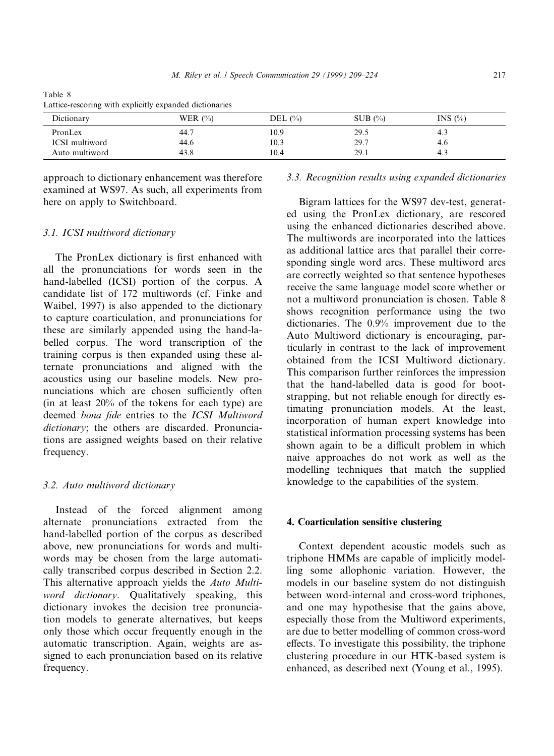| Lattice-rescoring with explicitly expanded dictionaries |             |             |        |             |  |  |
|---------------------------------------------------------|-------------|-------------|--------|-------------|--|--|
| Dictionary                                              | WER $(\% )$ | DEL $(\% )$ | SUB(%) | INS $(\% )$ |  |  |
| PronLex                                                 | 44.7        | 10.9        | 29.5   | 4.3         |  |  |
| ICSI multiword                                          | 44.6        | 10.3        | 29.7   | 4.6         |  |  |
| Auto multiword                                          | 43.8        | 10.4        | 29.1   | 4.3         |  |  |

Table 8 Lattice-rescoring with explicitly expanded dictionaries

approach to dictionary enhancement was therefore examined at WS97. As such, all experiments from here on apply to Switchboard.

#### 3.1. ICSI multiword dictionary

The PronLex dictionary is first enhanced with all the pronunciations for words seen in the hand-labelled (ICSI) portion of the corpus. A candidate list of 172 multiwords (cf. Finke and Waibel, 1997) is also appended to the dictionary to capture coarticulation, and pronunciations for these are similarly appended using the hand-labelled corpus. The word transcription of the training corpus is then expanded using these alternate pronunciations and aligned with the acoustics using our baseline models. New pronunciations which are chosen sufficiently often (in at least 20% of the tokens for each type) are deemed bona fide entries to the ICSI Multiword dictionary; the others are discarded. Pronunciations are assigned weights based on their relative frequency.

#### 3.2. Auto multiword dictionary

Instead of the forced alignment among alternate pronunciations extracted from the hand-labelled portion of the corpus as described above, new pronunciations for words and multiwords may be chosen from the large automatically transcribed corpus described in Section 2.2. This alternative approach yields the Auto Multiword dictionary. Qualitatively speaking, this dictionary invokes the decision tree pronunciation models to generate alternatives, but keeps only those which occur frequently enough in the automatic transcription. Again, weights are assigned to each pronunciation based on its relative frequency.

## 3.3. Recognition results using expanded dictionaries

Bigram lattices for the WS97 dev-test, generated using the PronLex dictionary, are rescored using the enhanced dictionaries described above. The multiwords are incorporated into the lattices as additional lattice arcs that parallel their corresponding single word arcs. These multiword arcs are correctly weighted so that sentence hypotheses receive the same language model score whether or not a multiword pronunciation is chosen. Table 8 shows recognition performance using the two dictionaries. The 0.9% improvement due to the Auto Multiword dictionary is encouraging, particularly in contrast to the lack of improvement obtained from the ICSI Multiword dictionary. This comparison further reinforces the impression that the hand-labelled data is good for bootstrapping, but not reliable enough for directly estimating pronunciation models. At the least, incorporation of human expert knowledge into statistical information processing systems has been shown again to be a difficult problem in which naive approaches do not work as well as the modelling techniques that match the supplied knowledge to the capabilities of the system.

#### 4. Coarticulation sensitive clustering

Context dependent acoustic models such as triphone HMMs are capable of implicitly modelling some allophonic variation. However, the models in our baseline system do not distinguish between word-internal and cross-word triphones, and one may hypothesise that the gains above, especially those from the Multiword experiments, are due to better modelling of common cross-word effects. To investigate this possibility, the triphone clustering procedure in our HTK-based system is enhanced, as described next (Young et al., 1995).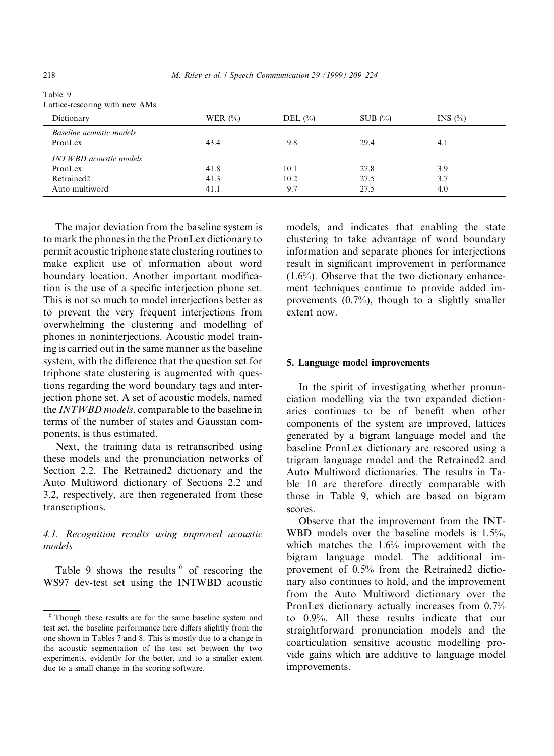| Table 9                        |  |  |
|--------------------------------|--|--|
| Lattice-rescoring with new AMs |  |  |

| Dictionary                    | WER $(\% )$ | DEL $(\% )$ | SUB(%) | INS $(\%)$ |
|-------------------------------|-------------|-------------|--------|------------|
| Baseline acoustic models      |             |             |        |            |
| PronLex                       | 43.4        | 9.8         | 29.4   | 4.1        |
| <b>INTWBD</b> acoustic models |             |             |        |            |
| PronLex                       | 41.8        | 10.1        | 27.8   | 3.9        |
| Retrained <sub>2</sub>        | 41.3        | 10.2        | 27.5   | 3.7        |
| Auto multiword                | 41.1        | 9.7         | 27.5   | 4.0        |

The major deviation from the baseline system is to mark the phonesin the the PronLex dictionary to permit acoustic triphone state clustering routines to make explicit use of information about word boundary location. Another important modification is the use of a specific interjection phone set. This is not so much to model interjections better as to prevent the very frequent interjections from overwhelming the clustering and modelling of phones in noninterjections. Acoustic model training is carried out in the same manner as the baseline system, with the difference that the question set for triphone state clustering is augmented with questions regarding the word boundary tags and interjection phone set. A set of acoustic models, named the INTWBD models, comparable to the baseline in terms of the number of states and Gaussian components, is thus estimated.

Next, the training data is retranscribed using these models and the pronunciation networks of Section 2.2. The Retrained2 dictionary and the Auto Multiword dictionary of Sections 2.2 and 3.2, respectively, are then regenerated from these transcriptions.

# 4.1. Recognition results using improved acoustic models

Table 9 shows the results  $6$  of rescoring the WS97 dev-test set using the INTWBD acoustic models, and indicates that enabling the state clustering to take advantage of word boundary information and separate phones for interjections result in significant improvement in performance  $(1.6\%)$ . Observe that the two dictionary enhancement techniques continue to provide added improvements (0.7%), though to a slightly smaller extent now.

#### 5. Language model improvements

In the spirit of investigating whether pronunciation modelling via the two expanded dictionaries continues to be of benefit when other components of the system are improved, lattices generated by a bigram language model and the baseline PronLex dictionary are rescored using a trigram language model and the Retrained2 and Auto Multiword dictionaries. The results in Table 10 are therefore directly comparable with those in Table 9, which are based on bigram scores.

Observe that the improvement from the INT-WBD models over the baseline models is 1.5%, which matches the 1.6% improvement with the bigram language model. The additional improvement of 0.5% from the Retrained2 dictionary also continues to hold, and the improvement from the Auto Multiword dictionary over the PronLex dictionary actually increases from 0.7% to 0.9%. All these results indicate that our straightforward pronunciation models and the coarticulation sensitive acoustic modelling provide gains which are additive to language model improvements.

<sup>&</sup>lt;sup>6</sup> Though these results are for the same baseline system and test set, the baseline performance here differs slightly from the one shown in Tables 7 and 8. This is mostly due to a change in the acoustic segmentation of the test set between the two experiments, evidently for the better, and to a smaller extent due to a small change in the scoring software.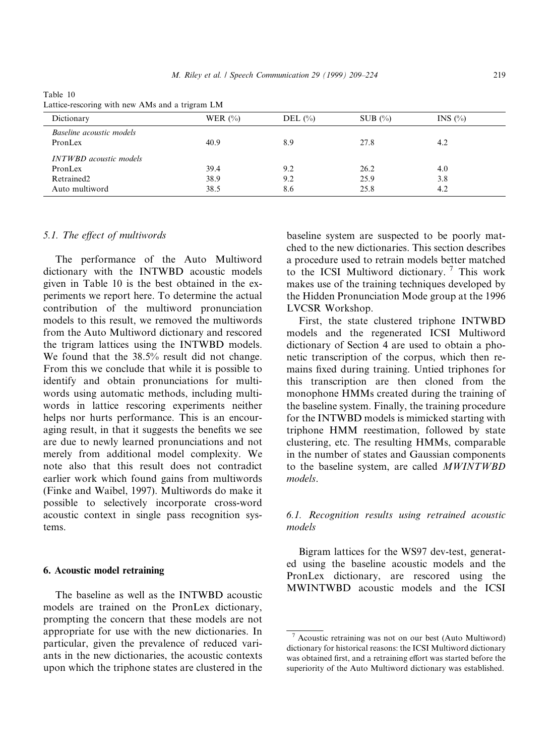| Lattice-rescoring with new AMs and a trigram LM |           |             |        |             |  |
|-------------------------------------------------|-----------|-------------|--------|-------------|--|
| Dictionary                                      | WER $(\%$ | DEL $(\% )$ | SUB(%) | INS $(\% )$ |  |
| Baseline acoustic models                        |           |             |        |             |  |
| PronLex                                         | 40.9      | 8.9         | 27.8   | 4.2         |  |
| <b>INTWBD</b> acoustic models                   |           |             |        |             |  |
| PronLex                                         | 39.4      | 9.2         | 26.2   | 4.0         |  |
| Retrained <sub>2</sub>                          | 38.9      | 9.2         | 25.9   | 3.8         |  |
| Auto multiword                                  | 38.5      | 8.6         | 25.8   | 4.2         |  |
|                                                 |           |             |        |             |  |

## Table 10 Lattice-rescoring with new AMs and a trigram LM

## 5.1. The effect of multiwords

The performance of the Auto Multiword dictionary with the INTWBD acoustic models given in Table 10 is the best obtained in the experiments we report here. To determine the actual contribution of the multiword pronunciation models to this result, we removed the multiwords from the Auto Multiword dictionary and rescored the trigram lattices using the INTWBD models. We found that the 38.5% result did not change. From this we conclude that while it is possible to identify and obtain pronunciations for multiwords using automatic methods, including multiwords in lattice rescoring experiments neither helps nor hurts performance. This is an encouraging result, in that it suggests the benefits we see are due to newly learned pronunciations and not merely from additional model complexity. We note also that this result does not contradict earlier work which found gains from multiwords (Finke and Waibel, 1997). Multiwords do make it possible to selectively incorporate cross-word acoustic context in single pass recognition systems.

#### 6. Acoustic model retraining

The baseline as well as the INTWBD acoustic models are trained on the PronLex dictionary, prompting the concern that these models are not appropriate for use with the new dictionaries. In particular, given the prevalence of reduced variants in the new dictionaries, the acoustic contexts upon which the triphone states are clustered in the baseline system are suspected to be poorly matched to the new dictionaries. This section describes a procedure used to retrain models better matched to the ICSI Multiword dictionary.  $\frac{7}{1}$  This work makes use of the training techniques developed by the Hidden Pronunciation Mode group at the 1996 LVCSR Workshop.

First, the state clustered triphone INTWBD models and the regenerated ICSI Multiword dictionary of Section 4 are used to obtain a phonetic transcription of the corpus, which then remains fixed during training. Untied triphones for this transcription are then cloned from the monophone HMMs created during the training of the baseline system. Finally, the training procedure for the INTWBD models is mimicked starting with triphone HMM reestimation, followed by state clustering, etc. The resulting HMMs, comparable in the number of states and Gaussian components to the baseline system, are called MWINTWBD models.

# 6.1. Recognition results using retrained acoustic models

Bigram lattices for the WS97 dev-test, generated using the baseline acoustic models and the PronLex dictionary, are rescored using the MWINTWBD acoustic models and the ICSI

<sup>7</sup> Acoustic retraining was not on our best (Auto Multiword) dictionary for historical reasons: the ICSI Multiword dictionary was obtained first, and a retraining effort was started before the superiority of the Auto Multiword dictionary was established.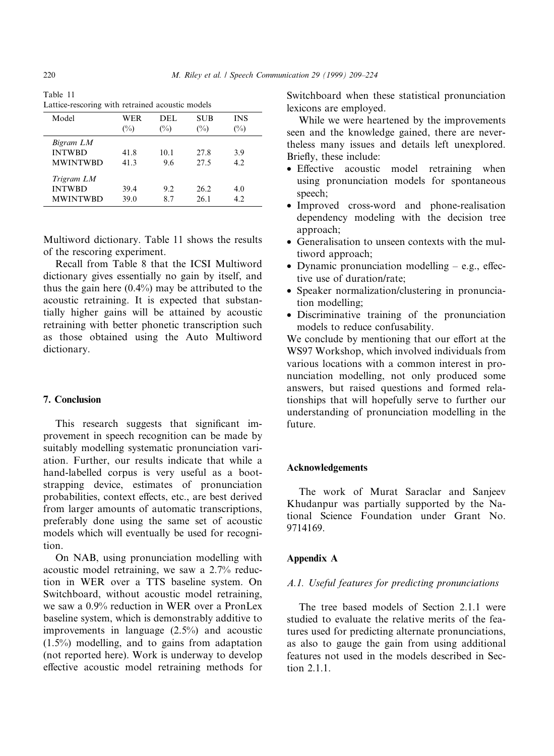| Model           | WER  | DEL.   | <b>SUB</b> | INS    |
|-----------------|------|--------|------------|--------|
|                 | (%)  | $(\%)$ | $(\%)$     | $(\%)$ |
| Bigram LM       |      |        |            |        |
| <b>INTWBD</b>   | 41.8 | 10.1   | 27.8       | 3.9    |
| <b>MWINTWBD</b> | 41.3 | 9.6    | 27.5       | 4.2    |
| Trigram LM      |      |        |            |        |
| <b>INTWBD</b>   | 39.4 | 9.2    | 26.2       | 4.0    |
| <b>MWINTWBD</b> | 39.0 | 8.7    | 26.1       | 4.2    |

Table 11 Lattice-rescoring with retrained acoustic models

Multiword dictionary. Table 11 shows the results of the rescoring experiment.

Recall from Table 8 that the ICSI Multiword dictionary gives essentially no gain by itself, and thus the gain here  $(0.4\%)$  may be attributed to the acoustic retraining. It is expected that substantially higher gains will be attained by acoustic retraining with better phonetic transcription such as those obtained using the Auto Multiword dictionary.

## 7. Conclusion

This research suggests that significant improvement in speech recognition can be made by suitably modelling systematic pronunciation variation. Further, our results indicate that while a hand-labelled corpus is very useful as a bootstrapping device, estimates of pronunciation probabilities, context effects, etc., are best derived from larger amounts of automatic transcriptions, preferably done using the same set of acoustic models which will eventually be used for recognition.

On NAB, using pronunciation modelling with acoustic model retraining, we saw a 2.7% reduction in WER over a TTS baseline system. On Switchboard, without acoustic model retraining, we saw a 0.9% reduction in WER over a PronLex baseline system, which is demonstrably additive to improvements in language (2.5%) and acoustic  $(1.5\%)$  modelling, and to gains from adaptation (not reported here). Work is underway to develop effective acoustic model retraining methods for Switchboard when these statistical pronunciation lexicons are employed.

While we were heartened by the improvements seen and the knowledge gained, there are nevertheless many issues and details left unexplored. Briefly, these include:

- Effective acoustic model retraining when using pronunciation models for spontaneous speech;
- · Improved cross-word and phone-realisation dependency modeling with the decision tree approach;
- · Generalisation to unseen contexts with the multiword approach;
- Dynamic pronunciation modelling  $-$  e.g., effective use of duration/rate;
- · Speaker normalization/clustering in pronunciation modelling;
- · Discriminative training of the pronunciation models to reduce confusability.

We conclude by mentioning that our effort at the WS97 Workshop, which involved individuals from various locations with a common interest in pronunciation modelling, not only produced some answers, but raised questions and formed relationships that will hopefully serve to further our understanding of pronunciation modelling in the future.

# Acknowledgements

The work of Murat Saraclar and Sanjeev Khudanpur was partially supported by the National Science Foundation under Grant No. 9714169.

## Appendix A

## A.1. Useful features for predicting pronunciations

The tree based models of Section 2.1.1 were studied to evaluate the relative merits of the features used for predicting alternate pronunciations, as also to gauge the gain from using additional features not used in the models described in Section 2.1.1.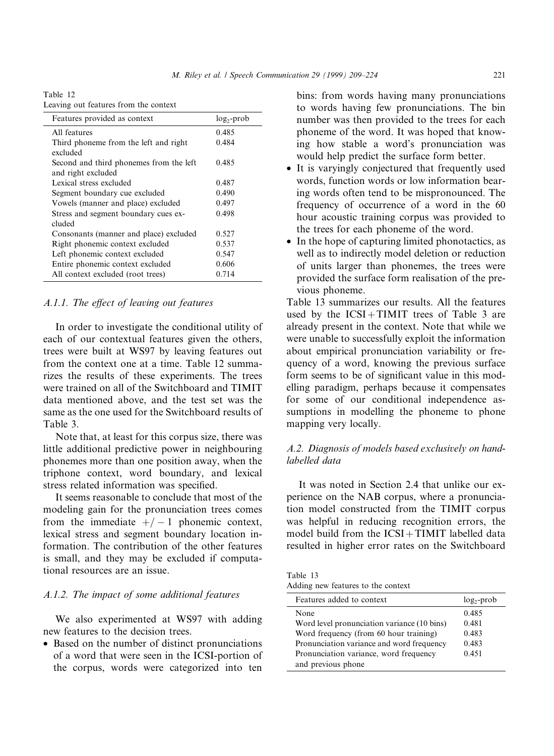Table 12 Leaving out features from the context

| $log_2$ -prob |
|---------------|
| 0.485         |
| 0.484         |
|               |
| 0.485         |
|               |
| 0.487         |
| 0.490         |
| 0.497         |
| 0.498         |
|               |
| 0.527         |
| 0.537         |
| 0.547         |
| 0.606         |
| 0.714         |
|               |

## A.1.1. The effect of leaving out features

In order to investigate the conditional utility of each of our contextual features given the others, trees were built at WS97 by leaving features out from the context one at a time. Table 12 summarizes the results of these experiments. The trees were trained on all of the Switchboard and TIMIT data mentioned above, and the test set was the same as the one used for the Switchboard results of Table 3.

Note that, at least for this corpus size, there was little additional predictive power in neighbouring phonemes more than one position away, when the triphone context, word boundary, and lexical stress related information was specified.

It seems reasonable to conclude that most of the modeling gain for the pronunciation trees comes from the immediate  $+/-1$  phonemic context, lexical stress and segment boundary location information. The contribution of the other features is small, and they may be excluded if computational resources are an issue.

# A.1.2. The impact of some additional features

We also experimented at WS97 with adding new features to the decision trees.

• Based on the number of distinct pronunciations of a word that were seen in the ICSI-portion of the corpus, words were categorized into ten

bins: from words having many pronunciations to words having few pronunciations. The bin number was then provided to the trees for each phoneme of the word. It was hoped that knowing how stable a word's pronunciation was would help predict the surface form better.

- · It is varyingly conjectured that frequently used words, function words or low information bearing words often tend to be mispronounced. The frequency of occurrence of a word in the 60 hour acoustic training corpus was provided to the trees for each phoneme of the word.
- · In the hope of capturing limited phonotactics, as well as to indirectly model deletion or reduction of units larger than phonemes, the trees were provided the surface form realisation of the previous phoneme.

Table 13 summarizes our results. All the features used by the  $ICSI + TIMIT$  trees of Table 3 are already present in the context. Note that while we were unable to successfully exploit the information about empirical pronunciation variability or frequency of a word, knowing the previous surface form seems to be of significant value in this modelling paradigm, perhaps because it compensates for some of our conditional independence assumptions in modelling the phoneme to phone mapping very locally.

# A.2. Diagnosis of models based exclusively on handlabelled data

It was noted in Section 2.4 that unlike our experience on the NAB corpus, where a pronunciation model constructed from the TIMIT corpus was helpful in reducing recognition errors, the model build from the  $ICSI + TIMIT$  labelled data resulted in higher error rates on the Switchboard

Table 13 Adding new features to the context

L.

| Features added to context                   | $log_2$ -prob |
|---------------------------------------------|---------------|
| None                                        | 0.485         |
| Word level pronunciation variance (10 bins) | 0.481         |
| Word frequency (from 60 hour training)      | 0.483         |
| Pronunciation variance and word frequency   | 0.483         |
| Pronunciation variance, word frequency      | 0.451         |
| and previous phone                          |               |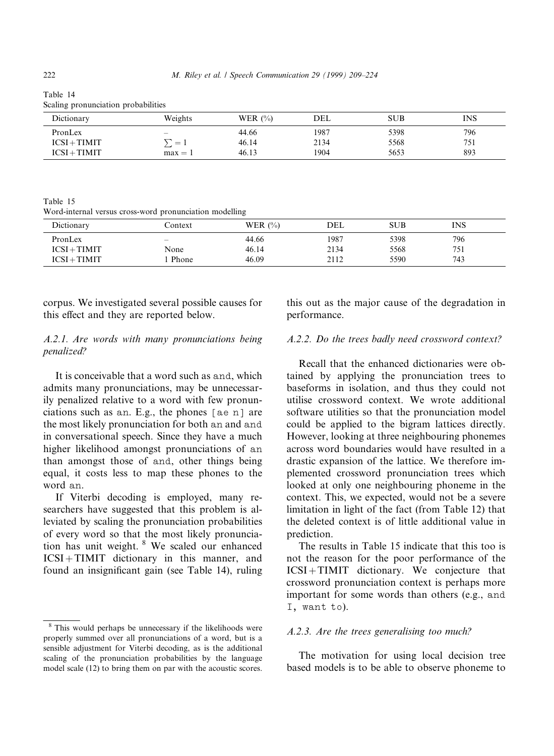| Table 14 |                                     |  |
|----------|-------------------------------------|--|
|          | Scaling pronunciation probabilities |  |

| Dictionary     | Weights   | WER $(\% )$ | DEL  | <b>SUB</b> | INS |
|----------------|-----------|-------------|------|------------|-----|
| PronLex        | $\sim$    | 44.66       | 1987 | 5398       | 796 |
| $ICSI + TIMIT$ | $=$       | 46.14       | 2134 | 5568       | 751 |
| $ICSI + TIMIT$ | $max = 1$ | 46.13       | 1904 | 5653       | 893 |

Table 15

Word-internal versus cross-word pronunciation modelling

| Dictionary     | Context | WER $(\% )$ | DEL  | <b>SUB</b> | INS |  |
|----------------|---------|-------------|------|------------|-----|--|
| PronLex        | $\sim$  | 44.66       | 1987 | 5398       | 796 |  |
| $ICSI + TIMIT$ | None    | 46.14       | 2134 | 5568       | 751 |  |
| $ICSI + TIMIT$ | Phone   | 46.09       | 2112 | 5590       | 743 |  |

corpus. We investigated several possible causes for this effect and they are reported below.

# A.2.1. Are words with many pronunciations being penalized?

It is conceivable that a word such as and, which admits many pronunciations, may be unnecessarily penalized relative to a word with few pronunciations such as an. E.g., the phones [ae n] are the most likely pronunciation for both an and and in conversational speech. Since they have a much higher likelihood amongst pronunciations of an than amongst those of and, other things being equal, it costs less to map these phones to the word an.

If Viterbi decoding is employed, many researchers have suggested that this problem is alleviated by scaling the pronunciation probabilities of every word so that the most likely pronunciation has unit weight. <sup>8</sup> We scaled our enhanced  $ICSI + TIMIT$  dictionary in this manner, and found an insignificant gain (see Table 14), ruling

this out as the major cause of the degradation in performance.

## A.2.2. Do the trees badly need crossword context?

Recall that the enhanced dictionaries were obtained by applying the pronunciation trees to baseforms in isolation, and thus they could not utilise crossword context. We wrote additional software utilities so that the pronunciation model could be applied to the bigram lattices directly. However, looking at three neighbouring phonemes across word boundaries would have resulted in a drastic expansion of the lattice. We therefore implemented crossword pronunciation trees which looked at only one neighbouring phoneme in the context. This, we expected, would not be a severe limitation in light of the fact (from Table 12) that the deleted context is of little additional value in prediction.

The results in Table 15 indicate that this too is not the reason for the poor performance of the  $ICSI + TIMIT$  dictionary. We conjecture that crossword pronunciation context is perhaps more important for some words than others (e.g., and I, want to).

## A.2.3. Are the trees generalising too much?

The motivation for using local decision tree based models is to be able to observe phoneme to

<sup>8</sup> This would perhaps be unnecessary if the likelihoods were properly summed over all pronunciations of a word, but is a sensible adjustment for Viterbi decoding, as is the additional scaling of the pronunciation probabilities by the language model scale (12) to bring them on par with the acoustic scores.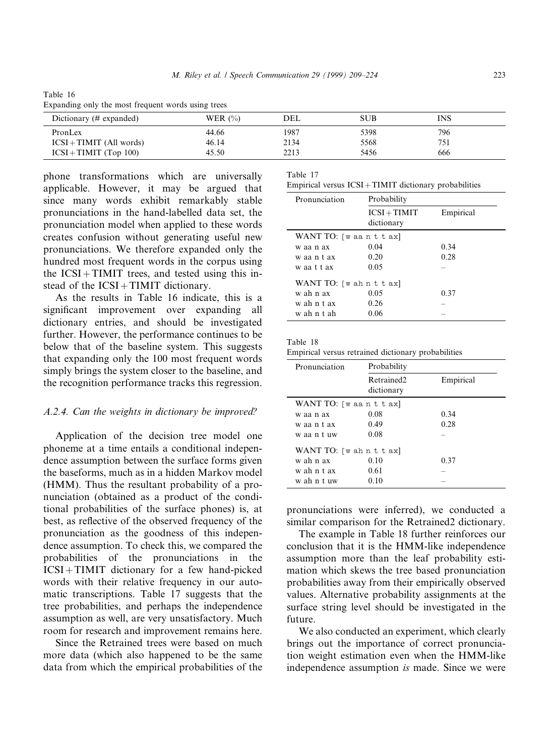| Expanding only the most frequent words using trees |            |      |            |     |  |
|----------------------------------------------------|------------|------|------------|-----|--|
| Dictionary $(\#$ expanded)                         | WER $(\%)$ | DEI. | <b>SUB</b> | INS |  |
| <b>PronLex</b>                                     | 44.66      | 1987 | 5398       | 796 |  |
| $ICSI + TIMIT$ (All words)                         | 46.14      | 2134 | 5568       | 751 |  |
| $ICSI + TIMIT$ (Top 100)                           | 45.50      | 2213 | 5456       | 666 |  |

Table 16

phone transformations which are universally applicable. However, it may be argued that since many words exhibit remarkably stable pronunciations in the hand-labelled data set, the pronunciation model when applied to these words creates confusion without generating useful new pronunciations. We therefore expanded only the hundred most frequent words in the corpus using the  $ICSI + TIMIT$  trees, and tested using this instead of the  $ICSI + TIMIT$  dictionary.

As the results in Table 16 indicate, this is a significant improvement over expanding all dictionary entries, and should be investigated further. However, the performance continues to be below that of the baseline system. This suggests that expanding only the 100 most frequent words simply brings the system closer to the baseline, and the recognition performance tracks this regression.

## A.2.4. Can the weights in dictionary be improved?

Application of the decision tree model one phoneme at a time entails a conditional independence assumption between the surface forms given the baseforms, much as in a hidden Markov model (HMM). Thus the resultant probability of a pronunciation (obtained as a product of the conditional probabilities of the surface phones) is, at best, as reflective of the observed frequency of the pronunciation as the goodness of this independence assumption. To check this, we compared the probabilities of the pronunciations in the  $ICSI + TIMIT$  dictionary for a few hand-picked words with their relative frequency in our automatic transcriptions. Table 17 suggests that the tree probabilities, and perhaps the independence assumption as well, are very unsatisfactory. Much room for research and improvement remains here.

Since the Retrained trees were based on much more data (which also happened to be the same data from which the empirical probabilities of the

| n. |  |
|----|--|
|----|--|

Empirical versus  $ICSI + TIMIT$  dictionary probabilities

| Probability                |           |  |
|----------------------------|-----------|--|
| $ICSI+TIMIT$<br>dictionary | Empirical |  |
| WANT TO: [waanttax]        |           |  |
| 0.04                       | 0.34      |  |
| 0.20                       | 0.28      |  |
| 0.05                       |           |  |
| WANT TO: [w ah n t t ax]   |           |  |
| 0.05                       | 0.37      |  |
| 0.26                       |           |  |
| 0.06                       |           |  |
|                            |           |  |

| `able |  |
|-------|--|
|-------|--|

|  | Empirical versus retrained dictionary probabilities |  |  |
|--|-----------------------------------------------------|--|--|
|  |                                                     |  |  |

| Pronunciation            | Probability                          |           |
|--------------------------|--------------------------------------|-----------|
|                          | Retrained <sub>2</sub><br>dictionary | Empirical |
| WANT TO: [waanttax]      |                                      |           |
| w aa n ax                | 0.08                                 | 0.34      |
| w aa n t ax              | 0.49                                 | 0.28      |
| w aa n t uw              | 0.08                                 |           |
| WANT TO: [w ah n t t ax] |                                      |           |
| w ah n ax                | 0.10                                 | 0.37      |
| w ah n t ax              | 0.61                                 |           |
| w ah n t uw              | 0.10                                 |           |

pronunciations were inferred), we conducted a similar comparison for the Retrained2 dictionary.

The example in Table 18 further reinforces our conclusion that it is the HMM-like independence assumption more than the leaf probability estimation which skews the tree based pronunciation probabilities away from their empirically observed values. Alternative probability assignments at the surface string level should be investigated in the future.

We also conducted an experiment, which clearly brings out the importance of correct pronunciation weight estimation even when the HMM-like independence assumption is made. Since we were